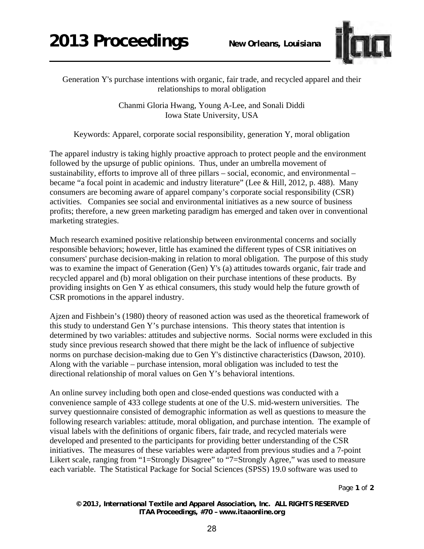

Generation Y's purchase intentions with organic, fair trade, and recycled apparel and their relationships to moral obligation

> Chanmi Gloria Hwang, Young A-Lee, and Sonali Diddi Iowa State University, USA

Keywords: Apparel, corporate social responsibility, generation Y, moral obligation

The apparel industry is taking highly proactive approach to protect people and the environment followed by the upsurge of public opinions. Thus, under an umbrella movement of sustainability, efforts to improve all of three pillars – social, economic, and environmental – became "a focal point in academic and industry literature" (Lee & Hill, 2012, p. 488). Many consumers are becoming aware of apparel company's corporate social responsibility (CSR) activities. Companies see social and environmental initiatives as a new source of business profits; therefore, a new green marketing paradigm has emerged and taken over in conventional marketing strategies.

Much research examined positive relationship between environmental concerns and socially responsible behaviors; however, little has examined the different types of CSR initiatives on consumers' purchase decision-making in relation to moral obligation. The purpose of this study was to examine the impact of Generation (Gen) Y's (a) attitudes towards organic, fair trade and recycled apparel and (b) moral obligation on their purchase intentions of these products. By providing insights on Gen Y as ethical consumers, this study would help the future growth of CSR promotions in the apparel industry.

Ajzen and Fishbein's (1980) theory of reasoned action was used as the theoretical framework of this study to understand Gen Y's purchase intensions. This theory states that intention is determined by two variables: attitudes and subjective norms. Social norms were excluded in this study since previous research showed that there might be the lack of influence of subjective norms on purchase decision-making due to Gen Y's distinctive characteristics (Dawson, 2010). Along with the variable – purchase intension, moral obligation was included to test the directional relationship of moral values on Gen Y's behavioral intentions.

An online survey including both open and close-ended questions was conducted with a convenience sample of 433 college students at one of the U.S. mid-western universities. The survey questionnaire consisted of demographic information as well as questions to measure the following research variables: attitude, moral obligation, and purchase intention. The example of visual labels with the definitions of organic fibers, fair trade, and recycled materials were developed and presented to the participants for providing better understanding of the CSR initiatives. The measures of these variables were adapted from previous studies and a 7-point Likert scale, ranging from "1=Strongly Disagree" to "7=Strongly Agree," was used to measure each variable. The Statistical Package for Social Sciences (SPSS) 19.0 software was used to

Page **1** of **2** 

*© 2013, International Textile and Apparel Association, Inc. ALL RIGHTS RESERVED ITAA Proceedings, #70 – www.itaaonline.org*